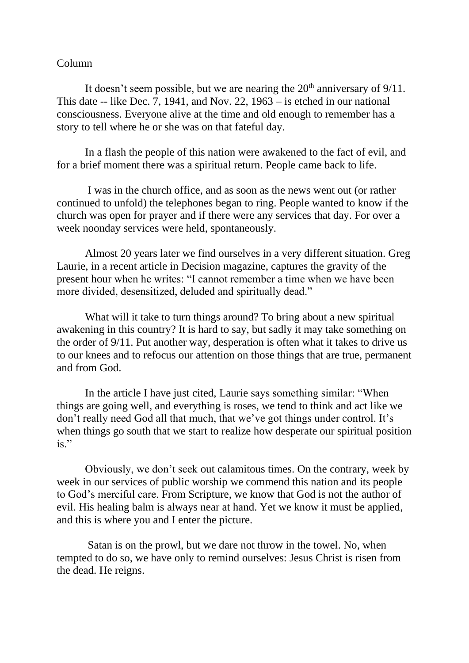## Column

It doesn't seem possible, but we are nearing the  $20<sup>th</sup>$  anniversary of  $9/11$ . This date -- like Dec. 7, 1941, and Nov. 22, 1963 – is etched in our national consciousness. Everyone alive at the time and old enough to remember has a story to tell where he or she was on that fateful day.

In a flash the people of this nation were awakened to the fact of evil, and for a brief moment there was a spiritual return. People came back to life.

I was in the church office, and as soon as the news went out (or rather continued to unfold) the telephones began to ring. People wanted to know if the church was open for prayer and if there were any services that day. For over a week noonday services were held, spontaneously.

Almost 20 years later we find ourselves in a very different situation. Greg Laurie, in a recent article in Decision magazine, captures the gravity of the present hour when he writes: "I cannot remember a time when we have been more divided, desensitized, deluded and spiritually dead."

What will it take to turn things around? To bring about a new spiritual awakening in this country? It is hard to say, but sadly it may take something on the order of 9/11. Put another way, desperation is often what it takes to drive us to our knees and to refocus our attention on those things that are true, permanent and from God.

In the article I have just cited, Laurie says something similar: "When things are going well, and everything is roses, we tend to think and act like we don't really need God all that much, that we've got things under control. It's when things go south that we start to realize how desperate our spiritual position  $is.$ "

Obviously, we don't seek out calamitous times. On the contrary, week by week in our services of public worship we commend this nation and its people to God's merciful care. From Scripture, we know that God is not the author of evil. His healing balm is always near at hand. Yet we know it must be applied, and this is where you and I enter the picture.

Satan is on the prowl, but we dare not throw in the towel. No, when tempted to do so, we have only to remind ourselves: Jesus Christ is risen from the dead. He reigns.